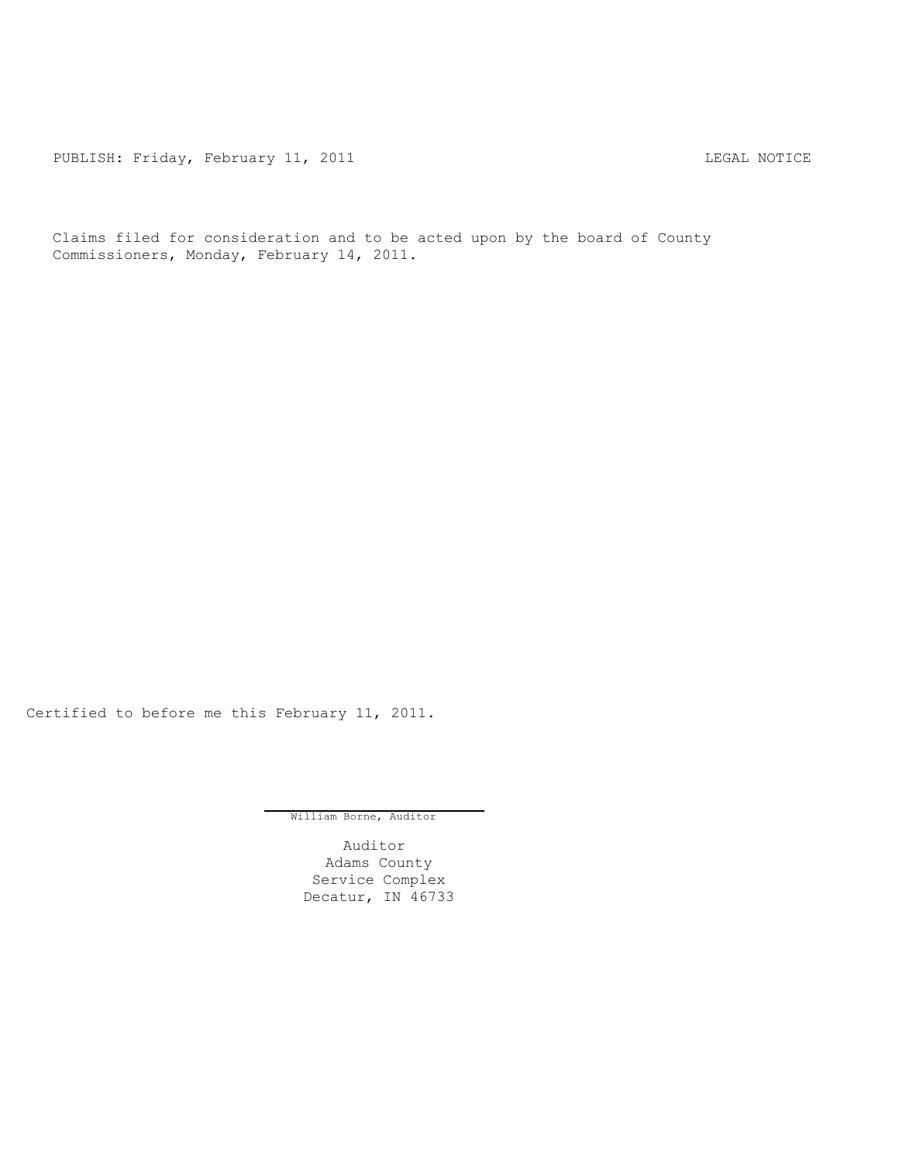PUBLISH: Friday, February 11, 2011 CHA CONTROL CONTROL REGAL NOTICE

Claims filed for consideration and to be acted upon by the board of County Commissioners, Monday, February 14, 2011.

Certified to before me this February 11, 2011.

William Borne, Auditor

Auditor Adams County Service Complex Decatur, IN 46733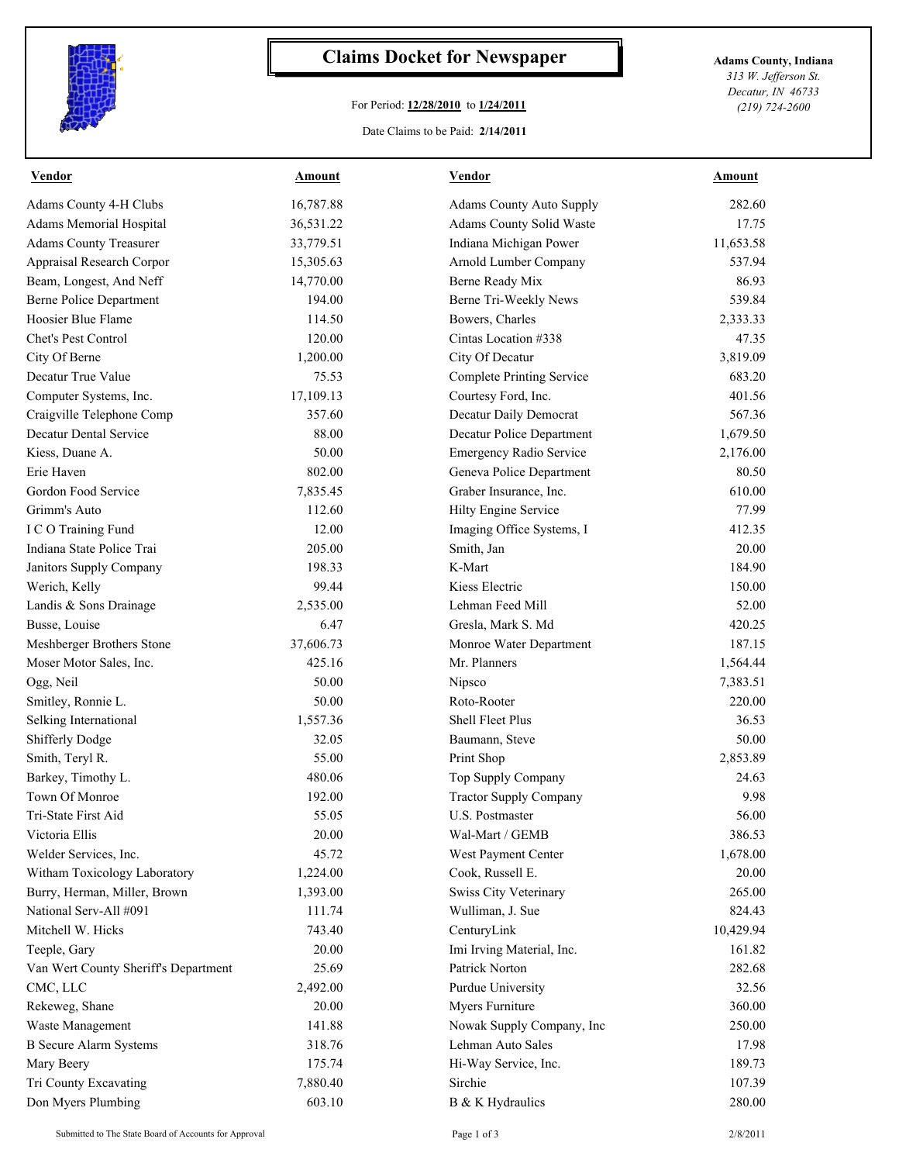

## **Claims Docket for Newspaper Adams County, Indiana**

## For Period: **12/28/2010** to **1/24/2011**

*313 W. Jefferson St. Decatur, IN 46733 (219) 724-2600*

## Date Claims to be Paid: **2/14/2011**

| <b>Vendor</b>                        | Amount    | <b>Vendor</b>                    | Amount    |
|--------------------------------------|-----------|----------------------------------|-----------|
| Adams County 4-H Clubs               | 16,787.88 | <b>Adams County Auto Supply</b>  | 282.60    |
| Adams Memorial Hospital              | 36,531.22 | Adams County Solid Waste         | 17.75     |
| <b>Adams County Treasurer</b>        | 33,779.51 | Indiana Michigan Power           | 11,653.58 |
| Appraisal Research Corpor            | 15,305.63 | Arnold Lumber Company            | 537.94    |
| Beam, Longest, And Neff              | 14,770.00 | Berne Ready Mix                  | 86.93     |
| Berne Police Department              | 194.00    | Berne Tri-Weekly News            | 539.84    |
| Hoosier Blue Flame                   | 114.50    | Bowers, Charles                  | 2,333.33  |
| Chet's Pest Control                  | 120.00    | Cintas Location #338             | 47.35     |
| City Of Berne                        | 1,200.00  | City Of Decatur                  | 3,819.09  |
| Decatur True Value                   | 75.53     | <b>Complete Printing Service</b> | 683.20    |
| Computer Systems, Inc.               | 17,109.13 | Courtesy Ford, Inc.              | 401.56    |
| Craigville Telephone Comp            | 357.60    | Decatur Daily Democrat           | 567.36    |
| Decatur Dental Service               | 88.00     | Decatur Police Department        | 1,679.50  |
| Kiess, Duane A.                      | 50.00     | <b>Emergency Radio Service</b>   | 2,176.00  |
| Erie Haven                           | 802.00    | Geneva Police Department         | 80.50     |
| Gordon Food Service                  | 7,835.45  | Graber Insurance, Inc.           | 610.00    |
| Grimm's Auto                         | 112.60    | Hilty Engine Service             | 77.99     |
| I C O Training Fund                  | 12.00     | Imaging Office Systems, I        | 412.35    |
| Indiana State Police Trai            | 205.00    | Smith, Jan                       | 20.00     |
| Janitors Supply Company              | 198.33    | K-Mart                           | 184.90    |
| Werich, Kelly                        | 99.44     | Kiess Electric                   | 150.00    |
| Landis & Sons Drainage               | 2,535.00  | Lehman Feed Mill                 | 52.00     |
| Busse, Louise                        | 6.47      | Gresla, Mark S. Md               | 420.25    |
| Meshberger Brothers Stone            | 37,606.73 | Monroe Water Department          | 187.15    |
| Moser Motor Sales, Inc.              | 425.16    | Mr. Planners                     | 1,564.44  |
| Ogg, Neil                            | 50.00     | Nipsco                           | 7,383.51  |
| Smitley, Ronnie L.                   | 50.00     | Roto-Rooter                      | 220.00    |
| Selking International                | 1,557.36  | <b>Shell Fleet Plus</b>          | 36.53     |
| <b>Shifferly Dodge</b>               | 32.05     | Baumann, Steve                   | 50.00     |
| Smith, Teryl R.                      | 55.00     | Print Shop                       | 2,853.89  |
| Barkey, Timothy L.                   | 480.06    | Top Supply Company               | 24.63     |
| Town Of Monroe                       | 192.00    | <b>Tractor Supply Company</b>    | 9.98      |
| Tri-State First Aid                  | 55.05     | U.S. Postmaster                  | 56.00     |
| Victoria Ellis                       | 20.00     | Wal-Mart / GEMB                  | 386.53    |
| Welder Services, Inc.                | 45.72     | West Payment Center              | 1,678.00  |
| Witham Toxicology Laboratory         | 1,224.00  | Cook, Russell E.                 | 20.00     |
| Burry, Herman, Miller, Brown         | 1,393.00  | Swiss City Veterinary            | 265.00    |
| National Serv-All #091               | 111.74    | Wulliman, J. Sue                 | 824.43    |
| Mitchell W. Hicks                    | 743.40    | CenturyLink                      | 10,429.94 |
| Teeple, Gary                         | 20.00     | Imi Irving Material, Inc.        | 161.82    |
| Van Wert County Sheriff's Department | 25.69     | Patrick Norton                   | 282.68    |
| CMC, LLC                             | 2,492.00  | Purdue University                | 32.56     |
| Rekeweg, Shane                       | 20.00     | Myers Furniture                  | 360.00    |
| Waste Management                     | 141.88    | Nowak Supply Company, Inc        | 250.00    |
| <b>B</b> Secure Alarm Systems        | 318.76    | Lehman Auto Sales                | 17.98     |
| Mary Beery                           | 175.74    | Hi-Way Service, Inc.             | 189.73    |
| Tri County Excavating                | 7,880.40  | Sirchie                          | 107.39    |
| Don Myers Plumbing                   | 603.10    | B & K Hydraulics                 | 280.00    |
|                                      |           |                                  |           |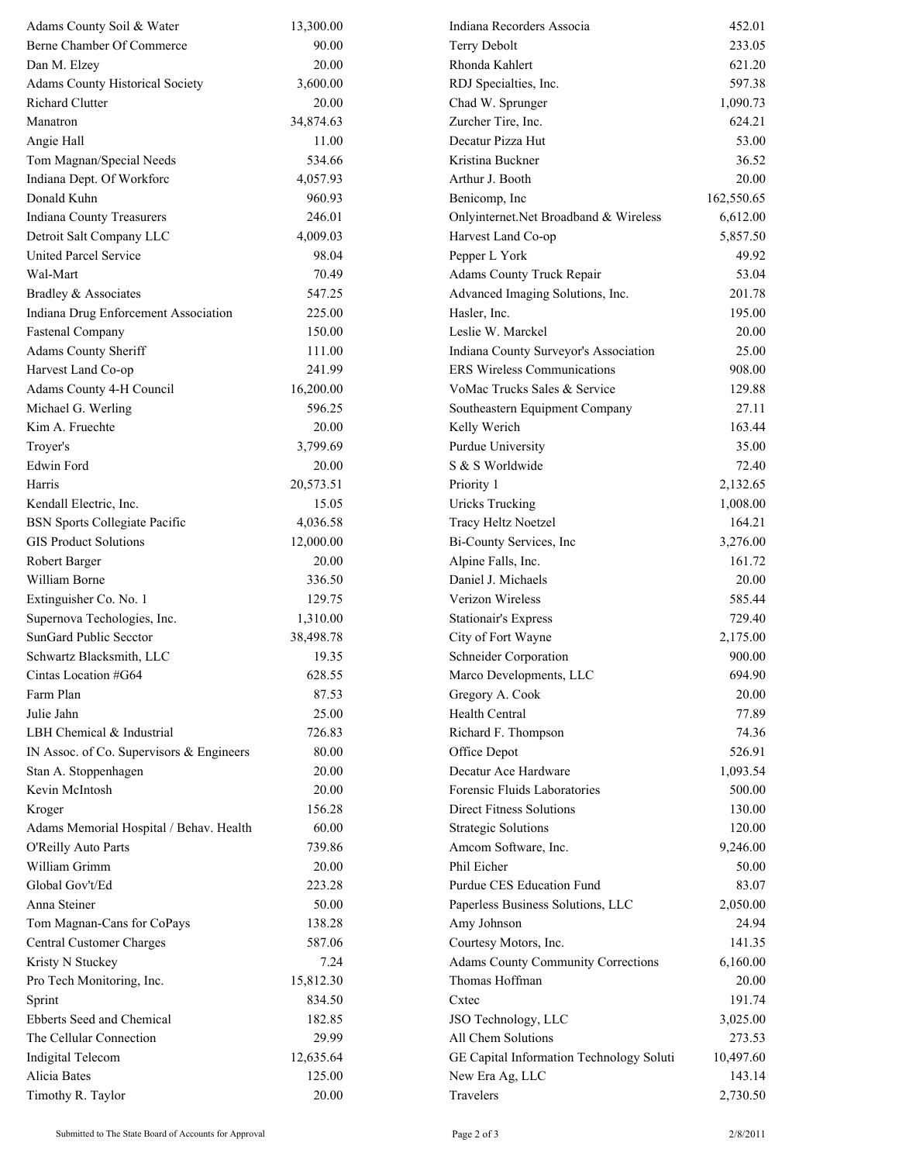| Adams County Soil & Water                | 13,300.00 | Indiana Recorders Associa                 | 452.01     |
|------------------------------------------|-----------|-------------------------------------------|------------|
| Berne Chamber Of Commerce                | 90.00     | Terry Debolt                              | 233.05     |
| Dan M. Elzey                             | 20.00     | Rhonda Kahlert                            | 621.20     |
| <b>Adams County Historical Society</b>   | 3,600.00  | RDJ Specialties, Inc.                     | 597.38     |
| <b>Richard Clutter</b>                   | 20.00     | Chad W. Sprunger                          | 1,090.73   |
| Manatron                                 | 34,874.63 | Zurcher Tire, Inc.                        | 624.21     |
| Angie Hall                               | 11.00     | Decatur Pizza Hut                         | 53.00      |
| Tom Magnan/Special Needs                 | 534.66    | Kristina Buckner                          | 36.52      |
| Indiana Dept. Of Workforc                | 4,057.93  | Arthur J. Booth                           | 20.00      |
| Donald Kuhn                              | 960.93    | Benicomp, Inc.                            | 162,550.65 |
| <b>Indiana County Treasurers</b>         | 246.01    | Onlyinternet.Net Broadband & Wireless     | 6,612.00   |
| Detroit Salt Company LLC                 | 4,009.03  | Harvest Land Co-op                        | 5,857.50   |
| <b>United Parcel Service</b>             | 98.04     | Pepper L York                             | 49.92      |
| Wal-Mart                                 | 70.49     | Adams County Truck Repair                 | 53.04      |
| Bradley & Associates                     | 547.25    | Advanced Imaging Solutions, Inc.          | 201.78     |
| Indiana Drug Enforcement Association     | 225.00    | Hasler, Inc.                              | 195.00     |
| <b>Fastenal Company</b>                  | 150.00    | Leslie W. Marckel                         | 20.00      |
| Adams County Sheriff                     | 111.00    | Indiana County Surveyor's Association     | 25.00      |
| Harvest Land Co-op                       | 241.99    | <b>ERS</b> Wireless Communications        | 908.00     |
| Adams County 4-H Council                 | 16,200.00 | VoMac Trucks Sales & Service              | 129.88     |
| Michael G. Werling                       | 596.25    | Southeastern Equipment Company            | 27.11      |
| Kim A. Fruechte                          | 20.00     | Kelly Werich                              | 163.44     |
| Troyer's                                 | 3,799.69  | Purdue University                         | 35.00      |
| Edwin Ford                               | 20.00     | S & S Worldwide                           | 72.40      |
| Harris                                   | 20,573.51 | Priority 1                                | 2,132.65   |
| Kendall Electric, Inc.                   | 15.05     | <b>Uricks Trucking</b>                    | 1,008.00   |
| <b>BSN Sports Collegiate Pacific</b>     | 4,036.58  | Tracy Heltz Noetzel                       | 164.21     |
| <b>GIS Product Solutions</b>             | 12,000.00 | Bi-County Services, Inc                   | 3,276.00   |
| Robert Barger                            | 20.00     | Alpine Falls, Inc.                        | 161.72     |
| William Borne                            | 336.50    | Daniel J. Michaels                        | 20.00      |
| Extinguisher Co. No. 1                   | 129.75    | Verizon Wireless                          | 585.44     |
| Supernova Techologies, Inc.              | 1,310.00  | <b>Stationair's Express</b>               | 729.40     |
| SunGard Public Secctor                   | 38,498.78 | City of Fort Wayne                        | 2,175.00   |
| Schwartz Blacksmith, LLC                 | 19.35     | Schneider Corporation                     | 900.00     |
| Cintas Location #G64                     | 628.55    | Marco Developments, LLC                   | 694.90     |
| Farm Plan                                | 87.53     | Gregory A. Cook                           | 20.00      |
| Julie Jahn                               | 25.00     | Health Central                            | 77.89      |
| LBH Chemical & Industrial                | 726.83    | Richard F. Thompson                       | 74.36      |
| IN Assoc. of Co. Supervisors & Engineers | 80.00     | Office Depot                              | 526.91     |
| Stan A. Stoppenhagen                     | 20.00     | Decatur Ace Hardware                      | 1,093.54   |
| Kevin McIntosh                           | 20.00     | Forensic Fluids Laboratories              | 500.00     |
| Kroger                                   | 156.28    | Direct Fitness Solutions                  | 130.00     |
| Adams Memorial Hospital / Behav. Health  | 60.00     | <b>Strategic Solutions</b>                | 120.00     |
| O'Reilly Auto Parts                      | 739.86    | Amcom Software, Inc.                      | 9,246.00   |
| William Grimm                            | 20.00     | Phil Eicher                               | 50.00      |
| Global Gov't/Ed                          | 223.28    | Purdue CES Education Fund                 | 83.07      |
| Anna Steiner                             | 50.00     | Paperless Business Solutions, LLC         | 2,050.00   |
| Tom Magnan-Cans for CoPays               | 138.28    | Amy Johnson                               | 24.94      |
| Central Customer Charges                 | 587.06    | Courtesy Motors, Inc.                     | 141.35     |
| Kristy N Stuckey                         | 7.24      | <b>Adams County Community Corrections</b> | 6,160.00   |
| Pro Tech Monitoring, Inc.                | 15,812.30 | Thomas Hoffman                            | 20.00      |
| Sprint                                   | 834.50    | Cxtec                                     | 191.74     |
| Ebberts Seed and Chemical                | 182.85    | JSO Technology, LLC                       | 3,025.00   |
| The Cellular Connection                  | 29.99     | All Chem Solutions                        | 273.53     |
| <b>Indigital Telecom</b>                 | 12,635.64 | GE Capital Information Technology Soluti  | 10,497.60  |
| Alicia Bates                             | 125.00    | New Era Ag, LLC                           | 143.14     |
| Timothy R. Taylor                        | 20.00     | Travelers                                 | 2,730.50   |
|                                          |           |                                           |            |